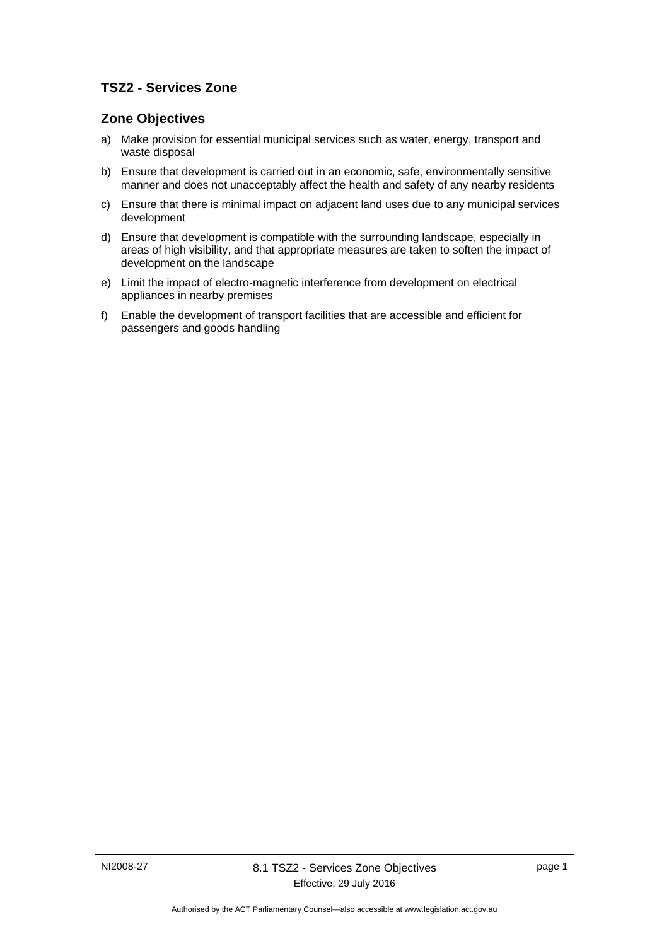## **TSZ2 - Services Zone**

## **Zone Objectives**

- a) Make provision for essential municipal services such as water, energy, transport and waste disposal
- b) Ensure that development is carried out in an economic, safe, environmentally sensitive manner and does not unacceptably affect the health and safety of any nearby residents
- c) Ensure that there is minimal impact on adjacent land uses due to any municipal services development
- d) Ensure that development is compatible with the surrounding landscape, especially in areas of high visibility, and that appropriate measures are taken to soften the impact of development on the landscape
- e) Limit the impact of electro-magnetic interference from development on electrical appliances in nearby premises
- f) Enable the development of transport facilities that are accessible and efficient for passengers and goods handling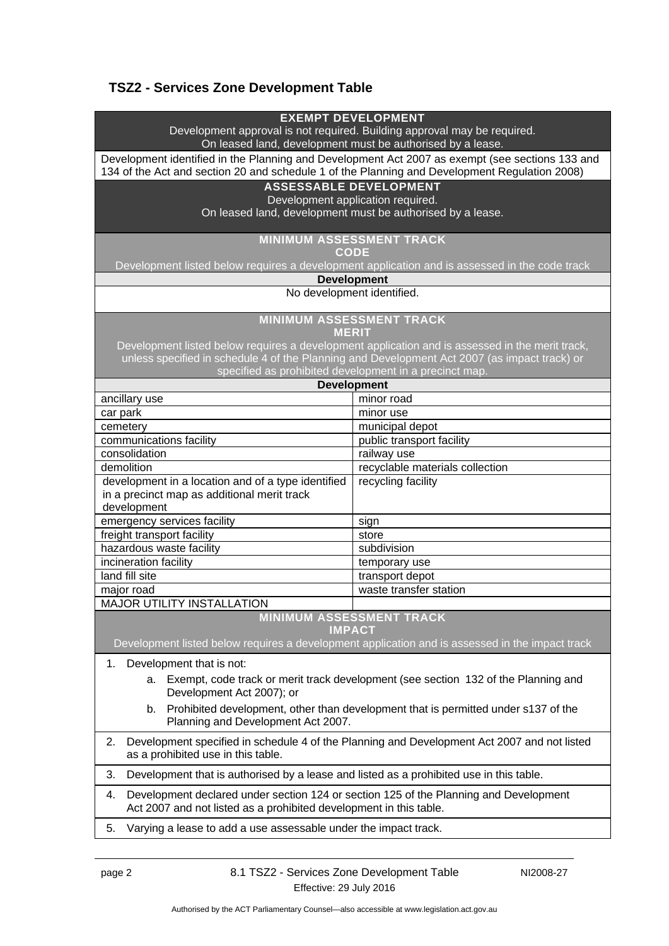# **TSZ2 - Services Zone Development Table**

| <b>EXEMPT DEVELOPMENT</b><br>Development approval is not required. Building approval may be required.<br>On leased land, development must be authorised by a lease.<br>Development identified in the Planning and Development Act 2007 as exempt (see sections 133 and<br>134 of the Act and section 20 and schedule 1 of the Planning and Development Regulation 2008)<br><b>ASSESSABLE DEVELOPMENT</b><br>Development application required.<br>On leased land, development must be authorised by a lease.<br><b>MINIMUM ASSESSMENT TRACK</b><br><b>CODE</b><br>Development listed below requires a development application and is assessed in the code track<br><b>Development</b><br>No development identified. |                                                                 |  |
|--------------------------------------------------------------------------------------------------------------------------------------------------------------------------------------------------------------------------------------------------------------------------------------------------------------------------------------------------------------------------------------------------------------------------------------------------------------------------------------------------------------------------------------------------------------------------------------------------------------------------------------------------------------------------------------------------------------------|-----------------------------------------------------------------|--|
| <b>MINIMUM ASSESSMENT TRACK</b><br><b>MERIT</b>                                                                                                                                                                                                                                                                                                                                                                                                                                                                                                                                                                                                                                                                    |                                                                 |  |
| Development listed below requires a development application and is assessed in the merit track,                                                                                                                                                                                                                                                                                                                                                                                                                                                                                                                                                                                                                    |                                                                 |  |
| unless specified in schedule 4 of the Planning and Development Act 2007 (as impact track) or<br>specified as prohibited development in a precinct map.                                                                                                                                                                                                                                                                                                                                                                                                                                                                                                                                                             |                                                                 |  |
| <b>Development</b>                                                                                                                                                                                                                                                                                                                                                                                                                                                                                                                                                                                                                                                                                                 |                                                                 |  |
| ancillary use                                                                                                                                                                                                                                                                                                                                                                                                                                                                                                                                                                                                                                                                                                      | minor road                                                      |  |
| car park                                                                                                                                                                                                                                                                                                                                                                                                                                                                                                                                                                                                                                                                                                           | minor use                                                       |  |
| cemetery                                                                                                                                                                                                                                                                                                                                                                                                                                                                                                                                                                                                                                                                                                           | municipal depot                                                 |  |
| communications facility                                                                                                                                                                                                                                                                                                                                                                                                                                                                                                                                                                                                                                                                                            | public transport facility                                       |  |
| consolidation                                                                                                                                                                                                                                                                                                                                                                                                                                                                                                                                                                                                                                                                                                      | railway use                                                     |  |
| demolition                                                                                                                                                                                                                                                                                                                                                                                                                                                                                                                                                                                                                                                                                                         | recyclable materials collection                                 |  |
| development in a location and of a type identified                                                                                                                                                                                                                                                                                                                                                                                                                                                                                                                                                                                                                                                                 | recycling facility                                              |  |
| in a precinct map as additional merit track                                                                                                                                                                                                                                                                                                                                                                                                                                                                                                                                                                                                                                                                        |                                                                 |  |
| development                                                                                                                                                                                                                                                                                                                                                                                                                                                                                                                                                                                                                                                                                                        |                                                                 |  |
| emergency services facility<br>freight transport facility                                                                                                                                                                                                                                                                                                                                                                                                                                                                                                                                                                                                                                                          | sign<br>store                                                   |  |
| hazardous waste facility                                                                                                                                                                                                                                                                                                                                                                                                                                                                                                                                                                                                                                                                                           | subdivision                                                     |  |
| incineration facility                                                                                                                                                                                                                                                                                                                                                                                                                                                                                                                                                                                                                                                                                              | temporary use                                                   |  |
| land fill site                                                                                                                                                                                                                                                                                                                                                                                                                                                                                                                                                                                                                                                                                                     | transport depot                                                 |  |
| major road                                                                                                                                                                                                                                                                                                                                                                                                                                                                                                                                                                                                                                                                                                         | waste transfer station                                          |  |
| <b>MAJOR UTILITY INSTALLATION</b>                                                                                                                                                                                                                                                                                                                                                                                                                                                                                                                                                                                                                                                                                  |                                                                 |  |
| <b>MINIMUM ASSESSMENT TRACK</b><br><b>IMPACT</b><br>Development listed below requires a development application and is assessed in the impact track                                                                                                                                                                                                                                                                                                                                                                                                                                                                                                                                                                |                                                                 |  |
|                                                                                                                                                                                                                                                                                                                                                                                                                                                                                                                                                                                                                                                                                                                    |                                                                 |  |
| Development that is not:<br>1.                                                                                                                                                                                                                                                                                                                                                                                                                                                                                                                                                                                                                                                                                     |                                                                 |  |
| a. Exempt, code track or merit track development (see section 132 of the Planning and                                                                                                                                                                                                                                                                                                                                                                                                                                                                                                                                                                                                                              |                                                                 |  |
| Development Act 2007); or                                                                                                                                                                                                                                                                                                                                                                                                                                                                                                                                                                                                                                                                                          |                                                                 |  |
| Prohibited development, other than development that is permitted under s137 of the<br>b.<br>Planning and Development Act 2007.                                                                                                                                                                                                                                                                                                                                                                                                                                                                                                                                                                                     |                                                                 |  |
| Development specified in schedule 4 of the Planning and Development Act 2007 and not listed<br>2.<br>as a prohibited use in this table.                                                                                                                                                                                                                                                                                                                                                                                                                                                                                                                                                                            |                                                                 |  |
| Development that is authorised by a lease and listed as a prohibited use in this table.<br>3.                                                                                                                                                                                                                                                                                                                                                                                                                                                                                                                                                                                                                      |                                                                 |  |
| Development declared under section 124 or section 125 of the Planning and Development<br>4.<br>Act 2007 and not listed as a prohibited development in this table.                                                                                                                                                                                                                                                                                                                                                                                                                                                                                                                                                  |                                                                 |  |
| 5.                                                                                                                                                                                                                                                                                                                                                                                                                                                                                                                                                                                                                                                                                                                 | Varying a lease to add a use assessable under the impact track. |  |